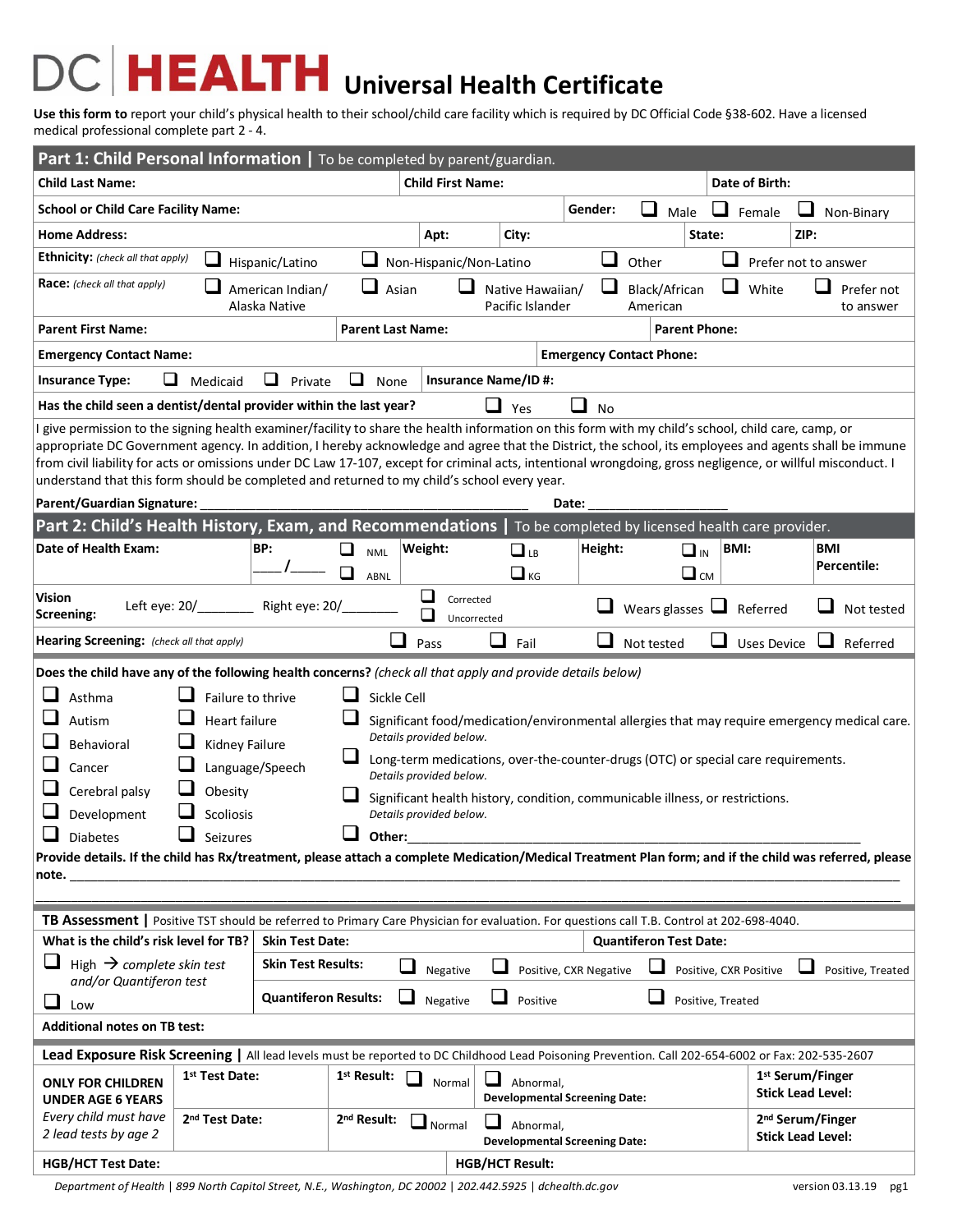## **HEALTH** Universal Health Certificate  $D($

**Use this form to** report your child's physical health to their school/child care facility which is required by DC Official Code §38-602. Have a licensed medical professional complete part 2 - 4.

| Part 1: Child Personal Information   To be completed by parent/guardian.                                                                                                                                                                                                                                                                                                                                                                                                                                                                                                                                                                                                                                                                                                                                                                                                     |                                                                                                                                            |                                                                                        |                               |                                                   |                                      |                                   |             |                                                          |  |  |  |
|------------------------------------------------------------------------------------------------------------------------------------------------------------------------------------------------------------------------------------------------------------------------------------------------------------------------------------------------------------------------------------------------------------------------------------------------------------------------------------------------------------------------------------------------------------------------------------------------------------------------------------------------------------------------------------------------------------------------------------------------------------------------------------------------------------------------------------------------------------------------------|--------------------------------------------------------------------------------------------------------------------------------------------|----------------------------------------------------------------------------------------|-------------------------------|---------------------------------------------------|--------------------------------------|-----------------------------------|-------------|----------------------------------------------------------|--|--|--|
| <b>Child Last Name:</b>                                                                                                                                                                                                                                                                                                                                                                                                                                                                                                                                                                                                                                                                                                                                                                                                                                                      |                                                                                                                                            |                                                                                        | <b>Child First Name:</b>      | Date of Birth:                                    |                                      |                                   |             |                                                          |  |  |  |
| <b>School or Child Care Facility Name:</b>                                                                                                                                                                                                                                                                                                                                                                                                                                                                                                                                                                                                                                                                                                                                                                                                                                   |                                                                                                                                            |                                                                                        |                               |                                                   | Gender:                              | $\sim$<br>Male                    | Female      | Non-Binary                                               |  |  |  |
| <b>Home Address:</b>                                                                                                                                                                                                                                                                                                                                                                                                                                                                                                                                                                                                                                                                                                                                                                                                                                                         |                                                                                                                                            |                                                                                        | Apt:                          | City:                                             |                                      | State:                            |             | ZIP:                                                     |  |  |  |
| <b>Ethnicity:</b> (check all that apply)                                                                                                                                                                                                                                                                                                                                                                                                                                                                                                                                                                                                                                                                                                                                                                                                                                     | Hispanic/Latino                                                                                                                            |                                                                                        | Non-Hispanic/Non-Latino       |                                                   | ⊔                                    | Other                             |             | Prefer not to answer                                     |  |  |  |
| <b>Race:</b> (check all that apply)<br>American Indian/<br>Alaska Native                                                                                                                                                                                                                                                                                                                                                                                                                                                                                                                                                                                                                                                                                                                                                                                                     |                                                                                                                                            | ⊔<br>Asian                                                                             |                               |                                                   | Native Hawaiian/<br>Pacific Islander |                                   | ⊔<br>White  | Prefer not<br>to answer                                  |  |  |  |
| <b>Parent First Name:</b>                                                                                                                                                                                                                                                                                                                                                                                                                                                                                                                                                                                                                                                                                                                                                                                                                                                    |                                                                                                                                            |                                                                                        | <b>Parent Last Name:</b>      |                                                   |                                      | <b>Parent Phone:</b>              |             |                                                          |  |  |  |
| <b>Emergency Contact Name:</b>                                                                                                                                                                                                                                                                                                                                                                                                                                                                                                                                                                                                                                                                                                                                                                                                                                               |                                                                                                                                            |                                                                                        |                               |                                                   |                                      | <b>Emergency Contact Phone:</b>   |             |                                                          |  |  |  |
| <b>Insurance Type:</b><br>ப                                                                                                                                                                                                                                                                                                                                                                                                                                                                                                                                                                                                                                                                                                                                                                                                                                                  | Medicaid<br>⊔<br>Private                                                                                                                   | None<br>ப                                                                              |                               | <b>Insurance Name/ID#:</b>                        |                                      |                                   |             |                                                          |  |  |  |
| Has the child seen a dentist/dental provider within the last year?<br>ப<br>Yes<br>No                                                                                                                                                                                                                                                                                                                                                                                                                                                                                                                                                                                                                                                                                                                                                                                         |                                                                                                                                            |                                                                                        |                               |                                                   |                                      |                                   |             |                                                          |  |  |  |
| give permission to the signing health examiner/facility to share the health information on this form with my child's school, child care, camp, or<br>appropriate DC Government agency. In addition, I hereby acknowledge and agree that the District, the school, its employees and agents shall be immune<br>from civil liability for acts or omissions under DC Law 17-107, except for criminal acts, intentional wrongdoing, gross negligence, or willful misconduct. I<br>understand that this form should be completed and returned to my child's school every year.<br>Parent/Guardian Signature:<br>Date:                                                                                                                                                                                                                                                             |                                                                                                                                            |                                                                                        |                               |                                                   |                                      |                                   |             |                                                          |  |  |  |
| Part 2: Child's Health History, Exam, and Recommendations   To be completed by licensed health care provider.                                                                                                                                                                                                                                                                                                                                                                                                                                                                                                                                                                                                                                                                                                                                                                |                                                                                                                                            |                                                                                        |                               |                                                   |                                      |                                   |             |                                                          |  |  |  |
| Date of Health Exam:                                                                                                                                                                                                                                                                                                                                                                                                                                                                                                                                                                                                                                                                                                                                                                                                                                                         | BP:                                                                                                                                        | ❏<br><b>NML</b><br>ABNL                                                                | Weight:                       | $\Box$ LB<br>$\Box$ KG                            | Height:                              | $\Box$ <sub>IN</sub><br>$\Box$ CM | <b>BMI:</b> | <b>BMI</b><br>Percentile:                                |  |  |  |
| <b>Vision</b><br>Screening:                                                                                                                                                                                                                                                                                                                                                                                                                                                                                                                                                                                                                                                                                                                                                                                                                                                  | Left eye: 20/_________ Right eye: 20/_                                                                                                     |                                                                                        | □<br>Corrected<br>Uncorrected |                                                   |                                      | Wears glasses $\Box$              | Referred    | Not tested                                               |  |  |  |
| Hearing Screening: (check all that apply)                                                                                                                                                                                                                                                                                                                                                                                                                                                                                                                                                                                                                                                                                                                                                                                                                                    |                                                                                                                                            | Pass                                                                                   | Fail                          |                                                   | Not tested                           | <b>Uses Device</b>                | Referred    |                                                          |  |  |  |
| Does the child have any of the following health concerns? (check all that apply and provide details below)<br>Asthma<br>Failure to thrive<br>Sickle Cell<br><b>Heart failure</b><br>Autism<br>Significant food/medication/environmental allergies that may require emergency medical care.<br>Details provided below.<br>Behavioral<br>Kidney Failure<br>Long-term medications, over-the-counter-drugs (OTC) or special care requirements.<br>Language/Speech<br>Cancer<br>Details provided below.<br>Cerebral palsy<br>Obesity<br>Significant health history, condition, communicable illness, or restrictions.<br>Development<br>Scoliosis<br>Details provided below.<br>Other:<br>Diabetes<br>Seizures<br>Provide details. If the child has Rx/treatment, please attach a complete Medication/Medical Treatment Plan form; and if the child was referred, please<br>note. |                                                                                                                                            |                                                                                        |                               |                                                   |                                      |                                   |             |                                                          |  |  |  |
|                                                                                                                                                                                                                                                                                                                                                                                                                                                                                                                                                                                                                                                                                                                                                                                                                                                                              | TB Assessment   Positive TST should be referred to Primary Care Physician for evaluation. For questions call T.B. Control at 202-698-4040. |                                                                                        |                               |                                                   |                                      |                                   |             |                                                          |  |  |  |
| What is the child's risk level for TB?                                                                                                                                                                                                                                                                                                                                                                                                                                                                                                                                                                                                                                                                                                                                                                                                                                       | <b>Skin Test Date:</b>                                                                                                                     | <b>Quantiferon Test Date:</b>                                                          |                               |                                                   |                                      |                                   |             |                                                          |  |  |  |
| ⊔<br>High $\rightarrow$ complete skin test                                                                                                                                                                                                                                                                                                                                                                                                                                                                                                                                                                                                                                                                                                                                                                                                                                   | <b>Skin Test Results:</b><br>$\sim$                                                                                                        | ⊔<br>Positive, CXR Negative<br>Negative<br>Positive, CXR Positive<br>Positive, Treated |                               |                                                   |                                      |                                   |             |                                                          |  |  |  |
| and/or Quantiferon test<br>⊔<br>Low                                                                                                                                                                                                                                                                                                                                                                                                                                                                                                                                                                                                                                                                                                                                                                                                                                          | <b>Quantiferon Results:</b><br>ப                                                                                                           | Negative<br>Positive<br>Positive, Treated                                              |                               |                                                   |                                      |                                   |             |                                                          |  |  |  |
| <b>Additional notes on TB test:</b>                                                                                                                                                                                                                                                                                                                                                                                                                                                                                                                                                                                                                                                                                                                                                                                                                                          |                                                                                                                                            |                                                                                        |                               |                                                   |                                      |                                   |             |                                                          |  |  |  |
| Lead Exposure Risk Screening   All lead levels must be reported to DC Childhood Lead Poisoning Prevention. Call 202-654-6002 or Fax: 202-535-2607                                                                                                                                                                                                                                                                                                                                                                                                                                                                                                                                                                                                                                                                                                                            |                                                                                                                                            |                                                                                        |                               |                                                   |                                      |                                   |             |                                                          |  |  |  |
| <b>ONLY FOR CHILDREN</b><br><b>UNDER AGE 6 YEARS</b>                                                                                                                                                                                                                                                                                                                                                                                                                                                                                                                                                                                                                                                                                                                                                                                                                         | 1 <sup>st</sup> Test Date:                                                                                                                 | 1 <sup>st</sup> Result:                                                                | Normal                        | Abnormal,<br><b>Developmental Screening Date:</b> |                                      |                                   |             | 1 <sup>st</sup> Serum/Finger<br><b>Stick Lead Level:</b> |  |  |  |
| Every child must have<br>2 lead tests by age 2                                                                                                                                                                                                                                                                                                                                                                                                                                                                                                                                                                                                                                                                                                                                                                                                                               | 2 <sup>nd</sup> Test Date:                                                                                                                 | 2 <sup>nd</sup> Result:                                                                | $\Box$ Normal                 | Abnormal,<br><b>Developmental Screening Date:</b> |                                      |                                   |             | 2 <sup>nd</sup> Serum/Finger<br><b>Stick Lead Level:</b> |  |  |  |
| <b>HGB/HCT Test Date:</b>                                                                                                                                                                                                                                                                                                                                                                                                                                                                                                                                                                                                                                                                                                                                                                                                                                                    |                                                                                                                                            |                                                                                        |                               | <b>HGB/HCT Result:</b>                            |                                      |                                   |             |                                                          |  |  |  |